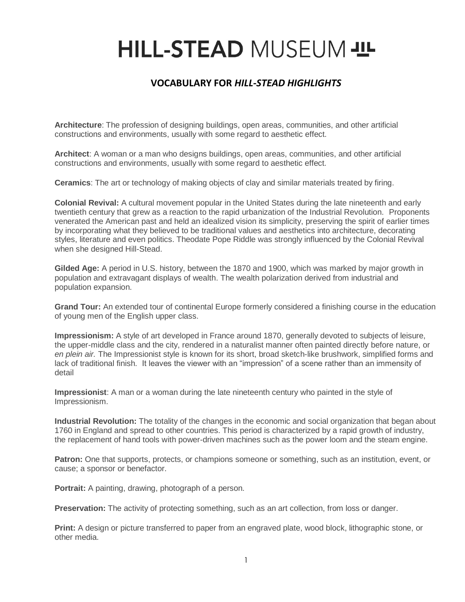## HILL-STEAD MUSEUM - IL

## **VOCABULARY FOR** *HILL-STEAD HIGHLIGHTS*

**Architecture**: The profession of designing buildings, open areas, communities, and other artificial constructions and environments, usually with some regard to aesthetic effect.

**Architect**: A woman or a man who designs buildings, open areas, communities, and other artificial constructions and environments, usually with some regard to aesthetic effect.

**Ceramics**: The art or technology of making objects of clay and similar materials treated by firing.

**Colonial Revival:** A cultural movement popular in the United States during the late nineteenth and early twentieth century that grew as a reaction to the rapid urbanization of the Industrial Revolution. Proponents venerated the American past and held an idealized vision its simplicity, preserving the spirit of earlier times by incorporating what they believed to be traditional values and aesthetics into architecture, decorating styles, literature and even politics. Theodate Pope Riddle was strongly influenced by the Colonial Revival when she designed Hill-Stead.

**Gilded Age:** A period in U.S. history, between the 1870 and 1900, which was marked by major growth in population and extravagant displays of wealth. The wealth polarization derived from industrial and population expansion.

**Grand Tour:** An extended tour of continental Europe formerly considered a finishing course in the education of young men of the English upper class.

**Impressionism:** A style of art developed in France around 1870, generally devoted to subjects of leisure, the upper-middle class and the city, rendered in a naturalist manner often painted directly before nature, or *en plein air.* The Impressionist style is known for its short, broad sketch-like brushwork, simplified forms and lack of traditional finish. It leaves the viewer with an "impression" of a scene rather than an immensity of detail

**Impressionist**: A man or a woman during the late nineteenth century who painted in the style of Impressionism.

**Industrial Revolution:** The totality of the changes in the economic and social organization that began about 1760 in England and spread to other countries. This period is characterized by a rapid growth of industry, the replacement of hand tools with power-driven machines such as the power loom and the steam engine.

**Patron:** One that supports, protects, or champions someone or something, such as an institution, event, or cause; a sponsor or benefactor.

**Portrait:** A painting, drawing, photograph of a person.

**Preservation:** The activity of protecting something, such as an art collection, from loss or danger.

**Print:** A design or picture transferred to paper from an engraved plate, wood block, lithographic stone, or other media.